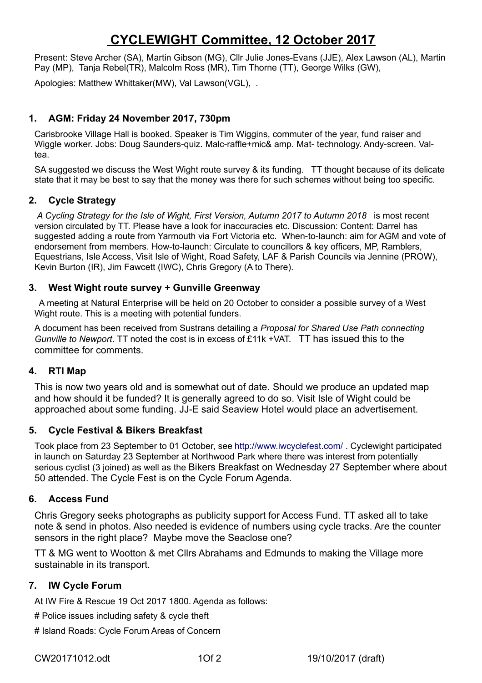# **CYCLEWIGHT Committee, 12 October 2017**

Present: Steve Archer (SA), Martin Gibson (MG), Cllr Julie Jones-Evans (JJE), Alex Lawson (AL), Martin Pay (MP), Tanja Rebel(TR), Malcolm Ross (MR), Tim Thorne (TT), George Wilks (GW),

Apologies: Matthew Whittaker(MW), Val Lawson(VGL), .

### **1. AGM: Friday 24 November 2017, 730pm**

Carisbrooke Village Hall is booked. Speaker is Tim Wiggins, commuter of the year, fund raiser and Wiggle worker. Jobs: Doug Saunders-quiz. Malc-raffle+mic& amp. Mat- technology. Andy-screen. Valtea.

SA suggested we discuss the West Wight route survey & its funding. TT thought because of its delicate state that it may be best to say that the money was there for such schemes without being too specific.

#### **2. Cycle Strategy**

*A Cycling Strategy for the Isle of Wight, First Version, Autumn 2017 to Autumn 2018* is most recent version circulated by TT. Please have a look for inaccuracies etc. Discussion: Content: Darrel has suggested adding a route from Yarmouth via Fort Victoria etc. When-to-launch: aim for AGM and vote of endorsement from members. How-to-launch: Circulate to councillors & key officers, MP, Ramblers, Equestrians, Isle Access, Visit Isle of Wight, Road Safety, LAF & Parish Councils via Jennine (PROW), Kevin Burton (IR), Jim Fawcett (IWC), Chris Gregory (A to There).

#### **3. West Wight route survey + Gunville Greenway**

 A meeting at Natural Enterprise will be held on 20 October to consider a possible survey of a West Wight route. This is a meeting with potential funders.

A document has been received from Sustrans detailing a *Proposal for Shared Use Path connecting Gunville to Newport*. TT noted the cost is in excess of £11k +VAT. TT has issued this to the committee for comments.

#### **4. RTI Map**

This is now two years old and is somewhat out of date. Should we produce an updated map and how should it be funded? It is generally agreed to do so. Visit Isle of Wight could be approached about some funding. JJ-E said Seaview Hotel would place an advertisement.

#### **5. Cycle Festival & Bikers Breakfast**

Took place from 23 September to 01 October, see<http://www.iwcyclefest.com/> . Cyclewight participated in launch on Saturday 23 September at Northwood Park where there was interest from potentially serious cyclist (3 joined) as well as the Bikers Breakfast on Wednesday 27 September where about 50 attended. The Cycle Fest is on the Cycle Forum Agenda.

#### **6. Access Fund**

Chris Gregory seeks photographs as publicity support for Access Fund. TT asked all to take note & send in photos. Also needed is evidence of numbers using cycle tracks. Are the counter sensors in the right place? Maybe move the Seaclose one?

TT & MG went to Wootton & met Cllrs Abrahams and Edmunds to making the Village more sustainable in its transport.

#### **7. IW Cycle Forum**

At IW Fire & Rescue 19 Oct 2017 1800. Agenda as follows:

# Police issues including safety & cycle theft

# Island Roads: Cycle Forum Areas of Concern